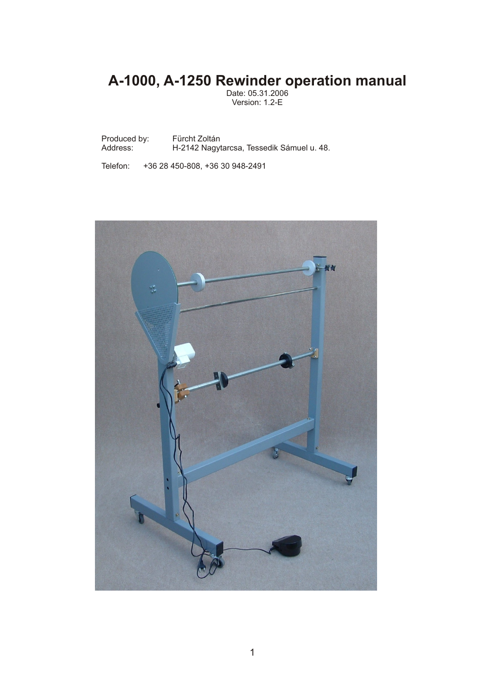# **A-1000, A-1250 Rewinder operation manual**

Date: 05.31.2006 Version: 1.2-E

Produced by: Fürcht Zoltán<br>Address: H-2142 Nagyi H-2142 Nagytarcsa, Tessedik Sámuel u. 48.

Telefon: +36 28 450-808, +36 30 948-2491

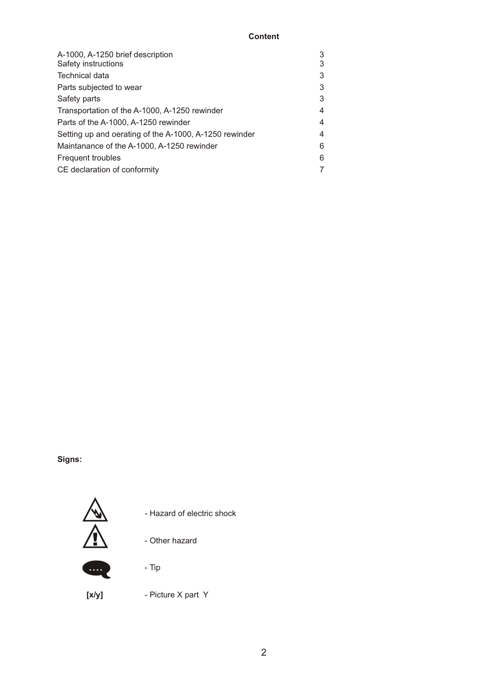## **Content**

| A-1000, A-1250 brief description                       | 3 |
|--------------------------------------------------------|---|
| Safety instructions                                    | 3 |
| Technical data                                         | 3 |
| Parts subjected to wear                                | 3 |
| Safety parts                                           | 3 |
| Transportation of the A-1000, A-1250 rewinder          | 4 |
| Parts of the A-1000, A-1250 rewinder                   | 4 |
| Setting up and oerating of the A-1000, A-1250 rewinder | 4 |
| Maintanance of the A-1000, A-1250 rewinder             | 6 |
| Frequent troubles                                      | 6 |
| CE declaration of conformity                           |   |
|                                                        |   |

## **Signs:**



....

- Hazard of electric shock

- Other hazard



**[x/y]** - Picture X part Y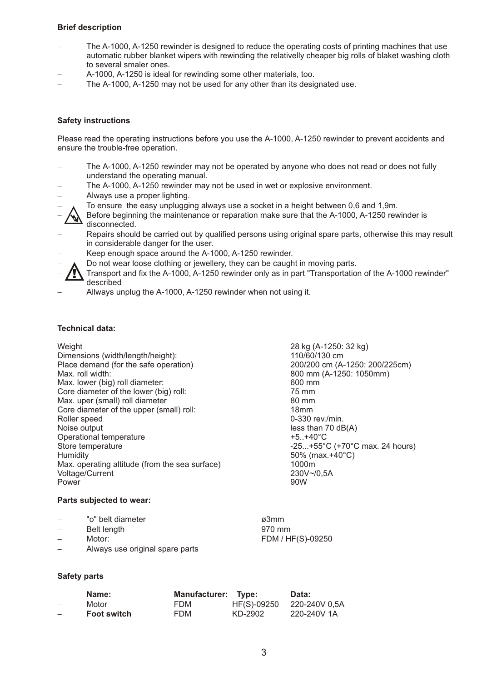#### **Brief description**

- The A-1000, A-1250 rewinder is designed to reduce the operating costs of printing machines that use automatic rubber blanket wipers with rewinding the relativelly cheaper big rolls of blaket washing cloth to several smaler ones.<br>– A-1000, A-1250 is ideal for rewinding some other materials, too.
- 
- A-1000, A-1250 is ideal for rewinding some other materials, too.<br>– The A-1000, A-1250 may not be used for any other than its designated use.

#### **Safety instructions**

Please read the operating instructions before you use the A-1000, A-1250 rewinder to prevent accidents and ensure the trouble-free operation.

- The A-1000, A-1250 rewinder may not be operated by anyone who does not read or does not fully understand the operating manual.<br>– The A-1000, A-1250 rewinder may not be used in wet or explosive environment.
- The A-1000, A-1250 rewinder may not be used in wet or explosive environment.<br>– Always use a proper lighting.
- 
- Always use a proper lighting.<br>-  $\uparrow$  To ensure the easy unplugging always use a socket in a height between 0,6 and 1,9m.
- -To ensure the easy unplugging always use a socket in a height between 0,6 and 1,9m. Before beginning the maintenance or reparation make sure that the rewinder is A-1000, A-1250
- disconnected.<br>
Repairs should be carried out by qualified persons using original spare parts, otherwise this may result -in considerable danger for the user. A-1000, A-1250
- 
- Do not wear loose clothing or jewellery, they can be caught in moving parts.
- ◯ Do not wear loose clothing or jewellery, they can be caught in moving parts.<br>– ◯ Transport and fix the A-1000, A-1250 rewinder only as in part "Transportation of the A-1000 rewinder" described<br>
Allways unplug the A-1000, A-1250 rewinder when not using it. <u>ו</u>
- 

#### **Technical data:**

#### Weight 28 kg (A-1250: 32 kg)

| Dimensions (width/length/height):              | 110/60/           |
|------------------------------------------------|-------------------|
| Place demand (for the safe operation)          | 200/200           |
| Max. roll width:                               | 800 mm            |
| Max. lower (big) roll diameter:                | 600 mm            |
| Core diameter of the lower (big) roll:         | 75 mm             |
| Max. uper (small) roll diameter                | $80 \text{ mm}$   |
| Core diameter of the upper (small) roll:       | 18 <sub>mm</sub>  |
| Roller speed                                   | $0 - 330$ re      |
| Noise output                                   | less that         |
| Operational temperature                        | $+5. +40^{\circ}$ |
| Store temperature                              | $-25+55$          |
| Humidity                                       | 50% (m            |
| Max. operating altitude (from the sea surface) | 1000m             |
| Voltage/Current                                | $230V - 10$       |
| Power                                          | 90W               |

#### **Parts subjected to wear:**

| $\overline{\phantom{0}}$ | "o" belt diameter | ø3mm              |
|--------------------------|-------------------|-------------------|
| $\overline{\phantom{a}}$ | Belt length       | 970 mm            |
| $\overline{\phantom{0}}$ | Motor:            | FDM / HF(S)-09250 |

- 
- 

110/60/130 cm

0-330 rev./min.  $less than 70 dB(A)$ 

 $50\%$  (max.+40 $^{\circ}$ C)<br>1000m

 $+5.+40^{\circ}$ C

230V~/0,5A<br>90W

200/200 cm (A-1250: 200/225cm) 800 mm (A-1250: 1050mm)

 $-25...+55°C$  (+70°C max. 24 hours)

-Motor: FDM / HF(S)-09250 Always use original spare parts

#### **Safety parts**

|                          | Name:              | <b>Manufacturer:</b> | Type:       | Data:         |
|--------------------------|--------------------|----------------------|-------------|---------------|
| $\overline{\phantom{a}}$ | Motor              | FDM.                 | HF(S)-09250 | 220-240V 0,5A |
| $\overline{\phantom{0}}$ | <b>Foot switch</b> | FDM                  | KD-2902     | 220-240V 1A   |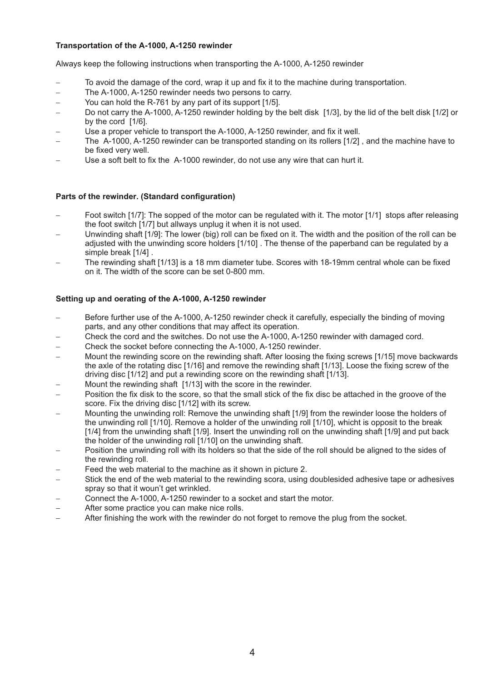#### **Transportation of the A-1000, A-1250 rewinder**

Always keep the following instructions when transporting the A-1000, A-1250

- Always keep the following instructions when transporting the A-1000, A-1250 rewinder<br>– To avoid the damage of the cord, wrap it up and fix it to the machine during transportation. – To avoid the damage of the cord, wrap it up and fix it to the machine during transportation.<br>– The A-1000, A-1250 rewinder needs two persons to carry.
- The A-1000, A-1250 rewinder needs two persons to carry.
- You can hold the R-761 by any part of its support [1/5].
- You can hold the R-761 by any part of its support [1/5].<br>– Do not carry the A-1000, A-1250 rewinder holding by the belt disk [1/3], by the lid of the belt disk [1/2] or by the cord [1/6].<br>— Use a proper vehicle to transport the A-1000, A-1250 rewinder, and fix it well.
- 
- Use a proper vehicle to transport the A-1000, A-1250 rewinder, and fix it well.<br>– The A-1000, A-1250 rewinder can be transported standing on its rollers [1/2] , and the machine have to -be fixed very well. Use a soft belt to fix the A-1000 rewinder, do not use any wire that can hurt it.
- 

#### Parts of the rewinder. (Standard configuration)

- **Parts of the rewinder. (Standard configuration)**<br>– Foot switch [1/7]: The sopped of the motor can be regulated with it. The motor [1/1] stops after releasing
- the foot switch [1/7] but allways unplug it when it is not used.<br>– Unwinding shaft [1/9]: The lower (big) roll can be fixed on it. The width and the position of the roll can be adjusted with the unwinding score holders [1/10]. The thense of the paperband can be regulated by a<br>simple break [1/4].
- simple break [1/4] .<br>– The rewinding shaft [1/13] is a 18 mm diameter tube. Scores with 18-19mm central whole can be fixed on it. The width of the score can be set 0-800 mm.

#### **Setting up and oerating of the A-1000, A-1250**

- **Setting up and oerating of the A-1000, A-1250 rewinder**<br>– Before further use of the A-1000, A-1250 rewinder check it carefully, especially the binding of moving
- parts, and any other conditions that may affect its operation.<br>— Check the cord and the switches. Do not use the A-1000, A-1250 rewinder with damaged cord. – Check the cord and the switches. Do not use the A-1000, A-1250 rewinder with damaged cord.<br>– Check the socket before connecting the A-1000, A-1250 rewinder.
- Check the socket before connecting the A-1000, A-1250 rewinder.
- Check the socket before connecting the A-1000, A-1250 rewinder.<br>– Mount the rewinding score on the rewinding shaft. After loosing the fixing screws [1/15] move backwards the axle of the rotating disc [1/16] and remove the rewinding shaft [1/13]. Loose the fixing screw of the driving disc [1/12] and put a rewinding score on the rewinding shaft [1/13].<br>Mount the rewinding shaft [1/13] with the score in the rewinder.
- 
- Mount the rewinding shaft [1/13] with the score in the rewinder.<br>– Position the fix disk to the score, so that the small stick of the fix disc be attached in the groove of the
- -score. Fix the driving disc [1/12] with its screw. Mounting the unwinding roll: Remove the unwinding shaft [1/9] from the rewinder loose the holders of the unwinding roll [1/10]. Remove a holder of the unwinding roll [1/10], whicht is opposit to the break [1/4] from the unwinding shaft [1/9]. Insert the unwinding roll on the unwinding shaft [1/9] and put back<br>the holder of the unwinding roll [1/10] on the unwinding shaft.
- -the holder of the unwinding roll [1/10] on the unwinding shaft. Position the unwinding roll with its holders so that the side of the roll should be aligned to the sides of the rewinding roll.<br>Feed the web material to the machine as it shown in picture 2.
- 
- Feed the web material to the machine as it shown in picture 2.<br>– Stick the end of the web material to the rewinding scora, using doublesided adhesive tape or adhesives spray so that it woun't get wrinkled.<br>– Connect the A-1000, A-1250 rewinder to a socket and start the motor.
- Connect the A-1000, A-1250 rewinder to a socket and start the motor.<br>– After some practice you can make nice rolls.
- 
- After some practice you can make nice rolls.<br>– After finishing the work with the rewinder do not forget to remove the plug from the socket.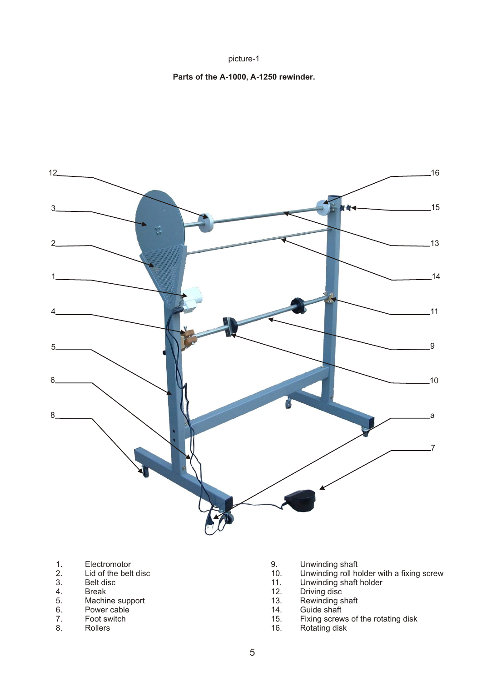picture-1

### **Parts of the A-1000, A-1250 rewinder.**



- 
- 1. Electromotor 1. Electromotor 1. Electromotor 1. Electromotor 1. Electromotor 1. Electromotor 1. Electromotor 1. Electromotor 1. Electromotor 1. Electromotor 1. Electromotor 1. Electromotor 1. Electromotor 1. Electromoto
- 
- 
- 4. Break 12. Driving disc<br>
5. Machine support 13. Rewinding shaft 5. Machine support 13. Rewinding s<br>
6. Power cable 14. Guide shaft
- 6. Power cable 14.<br>
7. Foot switch 15.
- 
- 
- 
- 2. Lid of the belt disc **10.** Unwinding roll holder with a fixing screw 10. Unwinding roll holder with a fixing screw 3.
- 3. Belt disc contract the state of the 11. Unwinding shaft holder 4. Break contract the Break contract of the 12. Driving disc
	-
	-
	-
- 7. Foot switch 15. Fixing screws of the rotating disk
- 8. Rollers 16. Rotating disk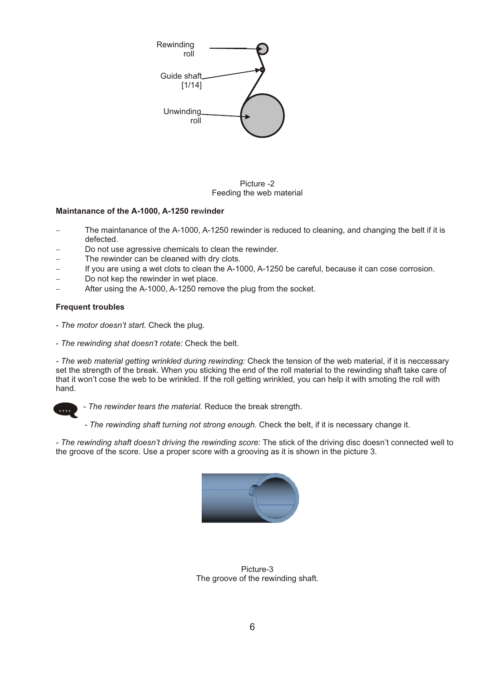

Picture -2 Feeding the web material

#### Maintanance of the A-1000, A-1250 rewinder

- **Maintanance of the A-1000, A-1250 rewinder**<br>– The maintanance of the A-1000, A-1250 rewinder is reduced to cleaning, and changing the belt if it is defected.<br>– Do not use agressive chemicals to clean the rewinder.
- Do not use agressive chemicals to clean the rewinder.<br>– The rewinder can be cleaned with dry clots.
- 
- The rewinder can be cleaned with dry clots.<br>– If you are using a wet clots to clean the A-1000, A-1250 be careful, because it can cose corrosion. – If you are using a wet clots to clean the A-1000, A-1250 be careful, because it can cose corrosion.<br>– Do not kep the rewinder in wet place.
- 
- Do not kep the rewinder in wet place.<br>– After using the A-1000, A-1250 remove the plug from the socket.

#### **Frequent troubles**

- *The motor doesn't start.* Check the plug.
- *The rewinding shat doesn't rotate:* Check the belt.

*- The web material getting wrinkled during rewinding:* Check the tension of the web material, if it is neccessary set the strength of the break. When you sticking the end of the roll material to the rewinding shaft take care of that it won't cose the web to be wrinkled. If the roll getting wrinkled, you can help it with smoting the roll with hand.



*- The rewinder tears the material.* Reduce the break strength.

*- The rewinding shaft turning not strong enough.* Check the belt, if it is necessary change it.

*- The rewinding shaft doesn't driving the rewinding score:* The stick of the driving disc doesn't connected well to the groove of the score. Use a proper score with a grooving as it is shown in the picture 3.



Picture-3 The groove of the rewinding shaft.